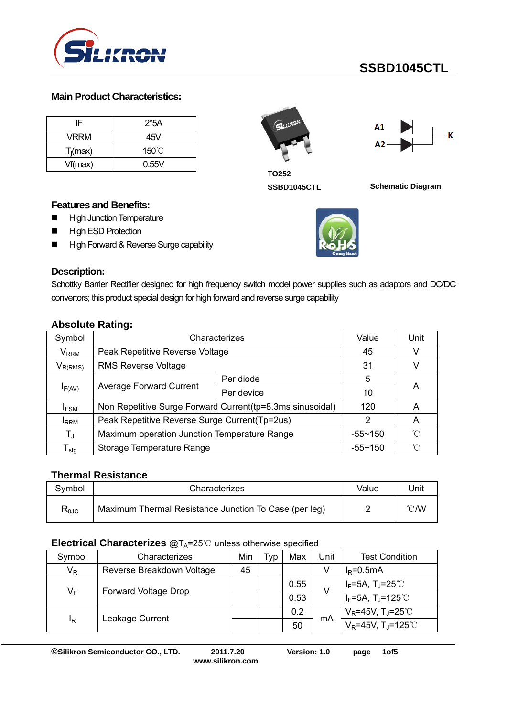

# **SSBD1045CTL**

#### **Main Product Characteristics:**

| IF          | $2*5A$ |
|-------------|--------|
| VRRM        | 45V    |
| $T_i$ (max) | 150°C  |
| Vf(max)     | 0.55V  |



**TO252** 

**SSBD1045CTL Schematic Diagram** 

### **High ESD Protection** High Forward & Reverse Surge capability

**Features and Benefits: High Junction Temperature** 

### **Description:**

Schottky Barrier Rectifier designed for high frequency switch model power supplies such as adaptors and DC/DC convertors; this product special design for high forward and reverse surge capability

|  | <b>Absolute Rating:</b> |
|--|-------------------------|
|  |                         |

|                                          | ້                                                         |            |             |      |  |  |
|------------------------------------------|-----------------------------------------------------------|------------|-------------|------|--|--|
| Symbol                                   | Characterizes                                             |            | Value       | Unit |  |  |
| $\mathsf{V}_{\mathsf{RRM}}$              | Peak Repetitive Reverse Voltage                           |            | 45          | V    |  |  |
| $V_{R(RMS)}$                             | <b>RMS Reverse Voltage</b>                                |            | 31          | V    |  |  |
| <b>Average Forward Current</b><br>IF(AV) | Per diode                                                 | 5          |             |      |  |  |
|                                          |                                                           | Per device | 10          | A    |  |  |
| <b>IFSM</b>                              | Non Repetitive Surge Forward Current(tp=8.3ms sinusoidal) |            | 120         | A    |  |  |
| <b>I</b> RRM                             | Peak Repetitive Reverse Surge Current (Tp=2us)            |            |             | А    |  |  |
| $T_{\rm J}$                              | Maximum operation Junction Temperature Range              |            | $-55 - 150$ | ิ์∩  |  |  |
| $\mathsf{\Gamma}_{\mathsf{stg}}$         | Storage Temperature Range                                 |            | $-55 - 150$ | ึ∩   |  |  |

## **Thermal Resistance**

| Symbol                    | Characterizes                                         | Value | Jnit           |
|---------------------------|-------------------------------------------------------|-------|----------------|
| $\mathsf{R}_{\text{0JC}}$ | Maximum Thermal Resistance Junction To Case (per leg) |       | $^{\circ}$ C/W |

#### **Electrical Characterizes @TA=25 ℃ unless otherwise specified**

| Symbol                               | Characterizes             | Min | Typ | Max  | Jnit | <b>Test Condition</b>              |
|--------------------------------------|---------------------------|-----|-----|------|------|------------------------------------|
| $V_R$                                | Reverse Breakdown Voltage | 45  |     |      | V    | $I_R = 0.5mA$                      |
| $V_F$<br><b>Forward Voltage Drop</b> |                           |     |     | 0.55 | V    | $I_F$ =5A, T」=25℃                  |
|                                      |                           |     |     | 0.53 |      | $I_F = 5A$ , T <sub>J</sub> =125°C |
| ΙŖ                                   | Leakage Current           |     |     | 0.2  | mA   | $V_R$ =45V, T <sub>J</sub> =25°C   |
|                                      |                           |     |     | 50   |      | $V_R$ =45V, T <sub>J</sub> =125°C  |

**©Silikron Semiconductor CO., LTD. 2011.7.20 Version: 1.0 page 1of5** 

**www.silikron.com**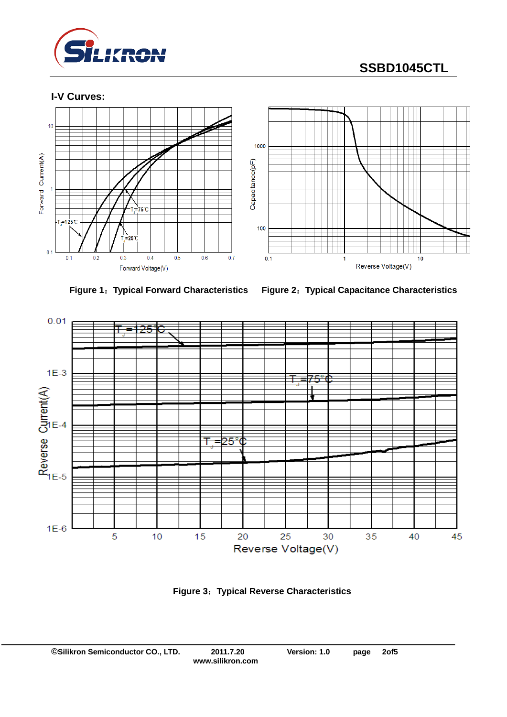

# **SSBD1045CTL**

**I-V Curves:** 





**Figure 1**:**Typical Forward Characteristics Figure 2**:**Typical Capacitance Characteristics** 



**Figure 3**:**Typical Reverse Characteristics**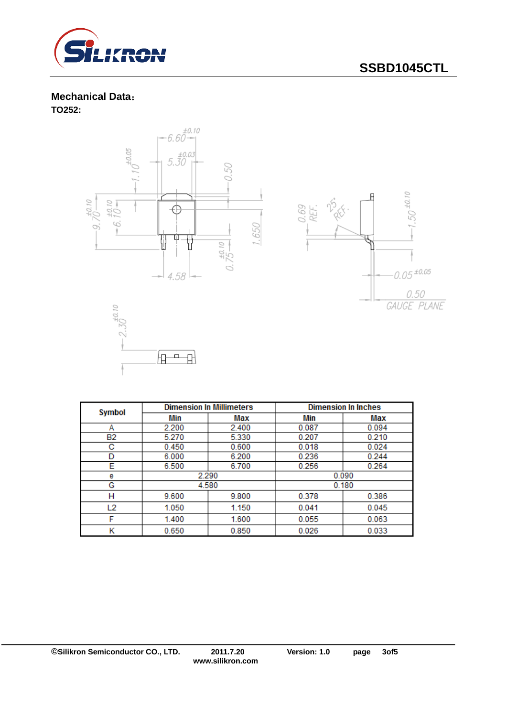

# **SSBD1045CTL**

# **Mechanical Data**:

**TO252:** 







| <b>Symbol</b> | <b>Dimension In Millimeters</b> |       | <b>Dimension In Inches</b> |       |  |
|---------------|---------------------------------|-------|----------------------------|-------|--|
|               | Min                             | Max   | Min                        | Max   |  |
| А             | 2.200                           | 2.400 | 0.087                      | 0.094 |  |
| <b>B2</b>     | 5.270                           | 5.330 | 0.207                      | 0.210 |  |
| с             | 0.450                           | 0.600 | 0.018                      | 0.024 |  |
| D             | 6.000                           | 6.200 | 0.236                      | 0.244 |  |
| Е             | 6.500                           | 6.700 | 0.256                      | 0.264 |  |
| е             | 2.290                           |       | 0.090                      |       |  |
| G             | 4.580                           |       | 0.180                      |       |  |
| н             | 9.600                           | 9.800 | 0.378                      | 0.386 |  |
| L2            | 1.050                           | 1.150 | 0.041                      | 0.045 |  |
| F             | 1.400                           | 1.600 | 0.055                      | 0.063 |  |
| κ             | 0.650                           | 0.850 | 0.026                      | 0.033 |  |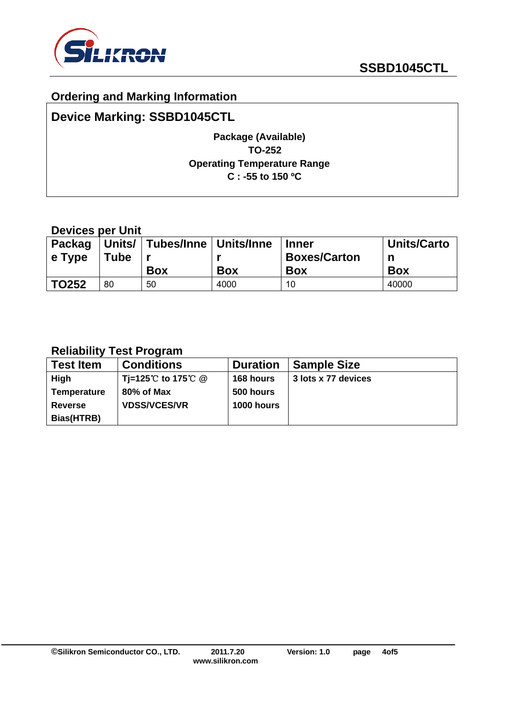

# **Ordering and Marking Information**

# **Device Marking: SSBD1045CTL**

## **Package (Available) TO-252 Operating Temperature Range C : -55 to 150 ºC**

## **Devices per Unit**

| e Type | <b>Tube</b> | Packag   Units/   Tubes/Inne   Units/Inne |            | <b>Inner</b><br><b>Boxes/Carton</b> | <b>Units/Carto</b><br>n |
|--------|-------------|-------------------------------------------|------------|-------------------------------------|-------------------------|
|        |             |                                           |            |                                     |                         |
|        |             | <b>Box</b>                                | <b>Box</b> | <b>Box</b>                          | <b>Box</b>              |

# **Reliability Test Program**

| <b>Test Item</b>   | <b>Conditions</b>   | <b>Duration</b>   | <b>Sample Size</b>  |
|--------------------|---------------------|-------------------|---------------------|
| <b>High</b>        | Ti=125℃ to 175℃ @   | 168 hours         | 3 lots x 77 devices |
| <b>Temperature</b> | 80% of Max          | 500 hours         |                     |
| <b>Reverse</b>     | <b>VDSS/VCES/VR</b> | <b>1000 hours</b> |                     |
| Bias(HTRB)         |                     |                   |                     |